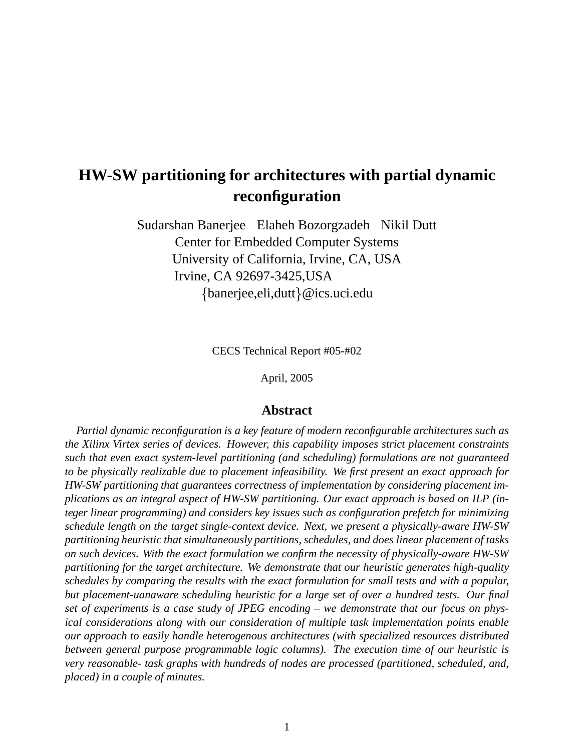# **HW-SW partitioning for architectures with partial dynamic reconfiguration**

Sudarshan Banerjee Elaheh Bozorgzadeh Nikil Dutt Center for Embedded Computer Systems University of California, Irvine, CA, USA Irvine, CA 92697-3425,USA  $\{banerjee, eli, dut\} @ics. uci.edu$ 

CECS Technical Report #05-#02

April, 2005

## **Abstract**

*Partial dynamic reconfiguration is a key feature of modern reconfigurable architectures such as the Xilinx Virtex series of devices. However, this capability imposes strict placement constraints such that even exact system-level partitioning (and scheduling) formulations are not guaranteed to be physically realizable due to placement infeasibility. We first present an exact approach for HW-SW partitioning that guarantees correctness of implementation by considering placement implications as an integral aspect of HW-SW partitioning. Our exact approach is based on ILP (integer linear programming) and considers key issues such as configuration prefetch for minimizing schedule length on the target single-context device. Next, we present a physically-aware HW-SW partitioning heuristic that simultaneously partitions, schedules, and does linear placement of tasks on such devices. With the exact formulation we confirm the necessity of physically-aware HW-SW partitioning for the target architecture. We demonstrate that our heuristic generates high-quality schedules by comparing the results with the exact formulation for small tests and with a popular, but placement-uanaware scheduling heuristic for a large set of over a hundred tests. Our final set of experiments is a case study of JPEG encoding – we demonstrate that our focus on physical considerations along with our consideration of multiple task implementation points enable our approach to easily handle heterogenous architectures (with specialized resources distributed between general purpose programmable logic columns). The execution time of our heuristic is very reasonable- task graphs with hundreds of nodes are processed (partitioned, scheduled, and, placed) in a couple of minutes.*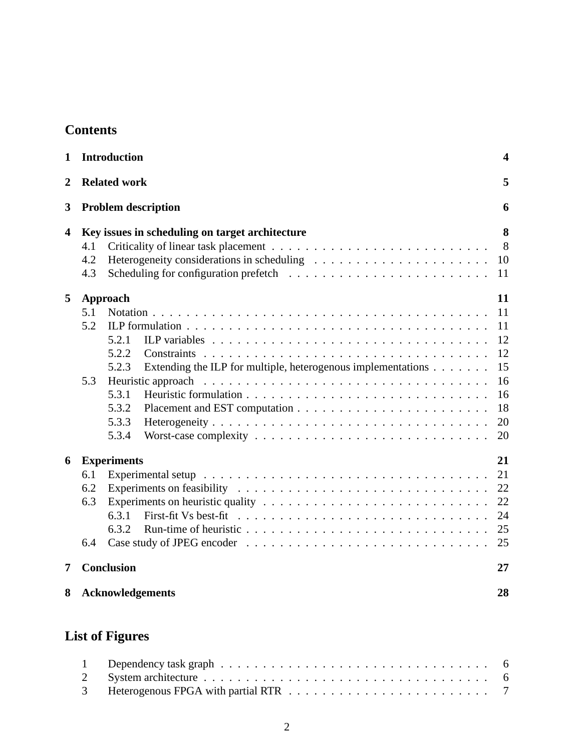## **Contents**

| 1              |                            | <b>Introduction</b>                                                                                          | $\overline{\mathbf{4}}$ |  |
|----------------|----------------------------|--------------------------------------------------------------------------------------------------------------|-------------------------|--|
| $\overline{2}$ |                            | <b>Related work</b>                                                                                          | 5                       |  |
| 3              | <b>Problem description</b> |                                                                                                              |                         |  |
| 4              |                            | Key issues in scheduling on target architecture                                                              | 8                       |  |
|                | 4.1                        |                                                                                                              | 8                       |  |
|                | 4.2                        |                                                                                                              | 10                      |  |
|                | 4.3                        |                                                                                                              | 11                      |  |
| 5              |                            | Approach                                                                                                     | 11                      |  |
|                | 5.1                        |                                                                                                              | 11                      |  |
|                | 5.2                        | ILP formulation $\ldots \ldots \ldots \ldots \ldots \ldots \ldots \ldots \ldots \ldots \ldots \ldots \ldots$ | 11                      |  |
|                |                            | 5.2.1                                                                                                        | 12                      |  |
|                |                            | 5.2.2                                                                                                        | 12                      |  |
|                |                            | 5.2.3<br>Extending the ILP for multiple, heterogenous implementations                                        | 15                      |  |
|                | 5.3                        |                                                                                                              | 16                      |  |
|                |                            | 5.3.1                                                                                                        | 16                      |  |
|                |                            | 5.3.2                                                                                                        | 18                      |  |
|                |                            | 5.3.3                                                                                                        | 20                      |  |
|                |                            | 5.3.4<br>Worst-case complexity $\dots \dots \dots \dots \dots \dots \dots \dots \dots \dots \dots$           | 20                      |  |
| 6              |                            | <b>Experiments</b>                                                                                           | 21                      |  |
|                | 6.1                        |                                                                                                              | 21                      |  |
|                | 6.2                        |                                                                                                              | 22                      |  |
|                | 6.3                        | Experiments on heuristic quality $\ldots \ldots \ldots \ldots \ldots \ldots \ldots \ldots \ldots \ldots$     | 22                      |  |
|                |                            | 6.3.1                                                                                                        | 24                      |  |
|                |                            | 6.3.2                                                                                                        | 25                      |  |
|                | 6.4                        |                                                                                                              | 25                      |  |
| 7              |                            | <b>Conclusion</b>                                                                                            | 27                      |  |
| 8              |                            | <b>Acknowledgements</b>                                                                                      | 28                      |  |

# **List of Figures**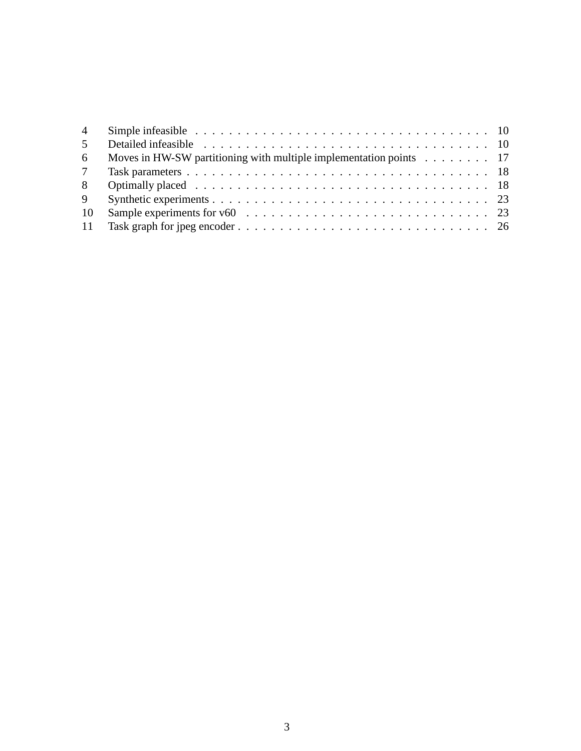| $\overline{4}$  |                                                                                              |  |
|-----------------|----------------------------------------------------------------------------------------------|--|
| $\overline{5}$  |                                                                                              |  |
| 6               | Moves in HW-SW partitioning with multiple implementation points $\dots \dots \dots \dots$ 17 |  |
| $7\overline{ }$ |                                                                                              |  |
| 8               |                                                                                              |  |
| 9               |                                                                                              |  |
| 10              |                                                                                              |  |
| 11              |                                                                                              |  |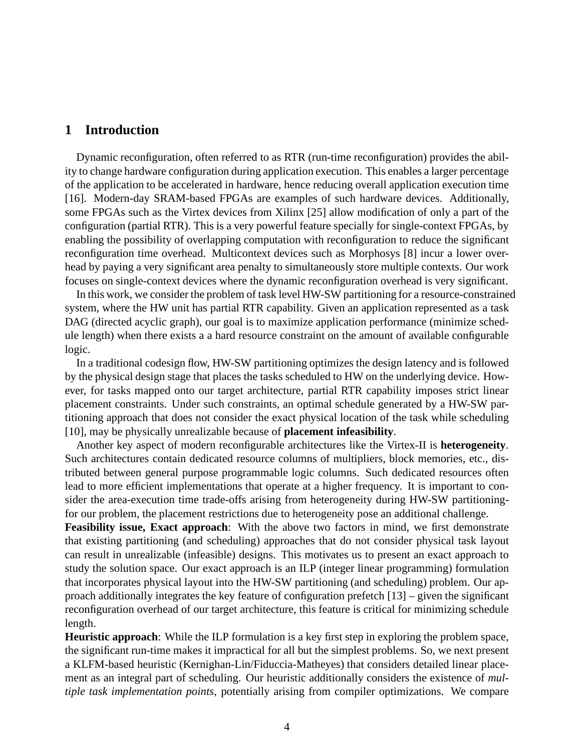## **1 Introduction**

Dynamic reconfiguration, often referred to as RTR (run-time reconfiguration) provides the ability to change hardware configuration during application execution. This enables a larger percentage of the application to be accelerated in hardware, hence reducing overall application execution time [16]. Modern-day SRAM-based FPGAs are examples of such hardware devices. Additionally, some FPGAs such as the Virtex devices from Xilinx [25] allow modification of only a part of the configuration (partial RTR). This is a very powerful feature specially for single-context FPGAs, by enabling the possibility of overlapping computation with reconfiguration to reduce the significant reconfiguration time overhead. Multicontext devices such as Morphosys [8] incur a lower overhead by paying a very significant area penalty to simultaneously store multiple contexts. Our work focuses on single-context devices where the dynamic reconfiguration overhead is very significant.

In this work, we consider the problem of task level HW-SW partitioning for a resource-constrained system, where the HW unit has partial RTR capability. Given an application represented as a task DAG (directed acyclic graph), our goal is to maximize application performance (minimize schedule length) when there exists a a hard resource constraint on the amount of available configurable logic.

In a traditional codesign flow, HW-SW partitioning optimizes the design latency and is followed by the physical design stage that places the tasks scheduled to HW on the underlying device. However, for tasks mapped onto our target architecture, partial RTR capability imposes strict linear placement constraints. Under such constraints, an optimal schedule generated by a HW-SW partitioning approach that does not consider the exact physical location of the task while scheduling [10], may be physically unrealizable because of **placement infeasibility**.

Another key aspect of modern reconfigurable architectures like the Virtex-II is **heterogeneity**. Such architectures contain dedicated resource columns of multipliers, block memories, etc., distributed between general purpose programmable logic columns. Such dedicated resources often lead to more efficient implementations that operate at a higher frequency. It is important to consider the area-execution time trade-offs arising from heterogeneity during HW-SW partitioningfor our problem, the placement restrictions due to heterogeneity pose an additional challenge.

**Feasibility issue, Exact approach**: With the above two factors in mind, we first demonstrate that existing partitioning (and scheduling) approaches that do not consider physical task layout can result in unrealizable (infeasible) designs. This motivates us to present an exact approach to study the solution space. Our exact approach is an ILP (integer linear programming) formulation that incorporates physical layout into the HW-SW partitioning (and scheduling) problem. Our approach additionally integrates the key feature of configuration prefetch [13] – given the significant reconfiguration overhead of our target architecture, this feature is critical for minimizing schedule length.

**Heuristic approach**: While the ILP formulation is a key first step in exploring the problem space, the significant run-time makes it impractical for all but the simplest problems. So, we next present a KLFM-based heuristic (Kernighan-Lin/Fiduccia-Matheyes) that considers detailed linear placement as an integral part of scheduling. Our heuristic additionally considers the existence of *multiple task implementation points*, potentially arising from compiler optimizations. We compare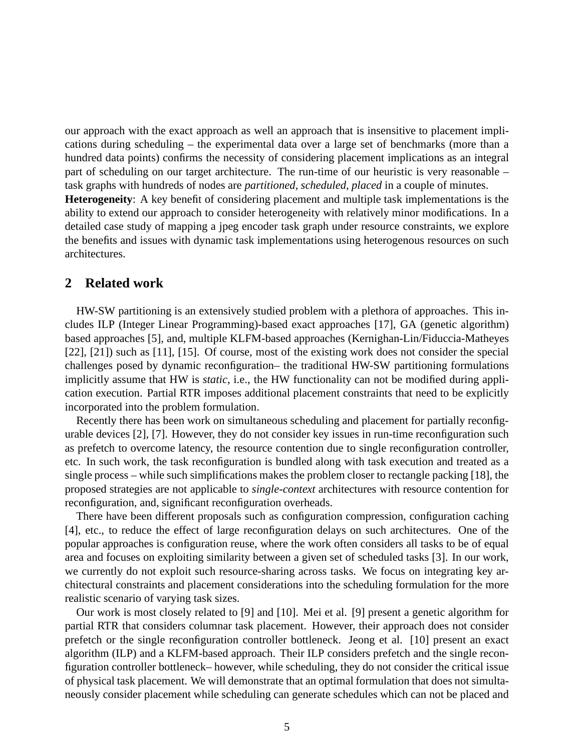our approach with the exact approach as well an approach that is insensitive to placement implications during scheduling – the experimental data over a large set of benchmarks (more than a hundred data points) confirms the necessity of considering placement implications as an integral part of scheduling on our target architecture. The run-time of our heuristic is very reasonable – task graphs with hundreds of nodes are *partitioned, scheduled, placed* in a couple of minutes. **Heterogeneity**: A key benefit of considering placement and multiple task implementations is the ability to extend our approach to consider heterogeneity with relatively minor modifications. In a detailed case study of mapping a jpeg encoder task graph under resource constraints, we explore the benefits and issues with dynamic task implementations using heterogenous resources on such architectures.

## **2 Related work**

HW-SW partitioning is an extensively studied problem with a plethora of approaches. This includes ILP (Integer Linear Programming)-based exact approaches [17], GA (genetic algorithm) based approaches [5], and, multiple KLFM-based approaches (Kernighan-Lin/Fiduccia-Matheyes [22], [21]) such as [11], [15]. Of course, most of the existing work does not consider the special challenges posed by dynamic reconfiguration– the traditional HW-SW partitioning formulations implicitly assume that HW is *static*, i.e., the HW functionality can not be modified during application execution. Partial RTR imposes additional placement constraints that need to be explicitly incorporated into the problem formulation.

Recently there has been work on simultaneous scheduling and placement for partially reconfigurable devices [2], [7]. However, they do not consider key issues in run-time reconfiguration such as prefetch to overcome latency, the resource contention due to single reconfiguration controller, etc. In such work, the task reconfiguration is bundled along with task execution and treated as a single process – while such simplifications makes the problem closer to rectangle packing [18], the proposed strategies are not applicable to *single-context* architectures with resource contention for reconfiguration, and, significant reconfiguration overheads.

There have been different proposals such as configuration compression, configuration caching [4], etc., to reduce the effect of large reconfiguration delays on such architectures. One of the popular approaches is configuration reuse, where the work often considers all tasks to be of equal area and focuses on exploiting similarity between a given set of scheduled tasks [3]. In our work, we currently do not exploit such resource-sharing across tasks. We focus on integrating key architectural constraints and placement considerations into the scheduling formulation for the more realistic scenario of varying task sizes.

Our work is most closely related to [9] and [10]. Mei et al. [9] present a genetic algorithm for partial RTR that considers columnar task placement. However, their approach does not consider prefetch or the single reconfiguration controller bottleneck. Jeong et al. [10] present an exact algorithm (ILP) and a KLFM-based approach. Their ILP considers prefetch and the single reconfiguration controller bottleneck– however, while scheduling, they do not consider the critical issue of physical task placement. We will demonstrate that an optimal formulation that does not simultaneously consider placement while scheduling can generate schedules which can not be placed and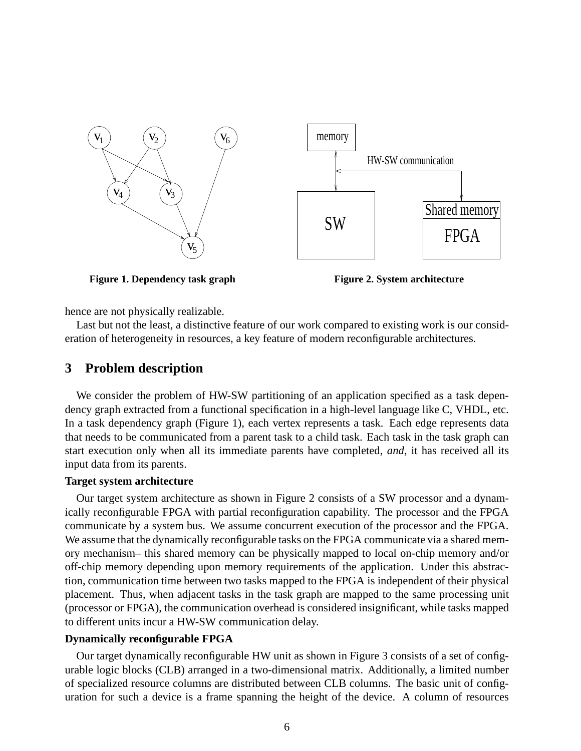

**Figure 1. Dependency task graph**

**Figure 2. System architecture**

hence are not physically realizable.

Last but not the least, a distinctive feature of our work compared to existing work is our consideration of heterogeneity in resources, a key feature of modern reconfigurable architectures.

## **3 Problem description**

We consider the problem of HW-SW partitioning of an application specified as a task dependency graph extracted from a functional specification in a high-level language like C, VHDL, etc. In a task dependency graph (Figure 1), each vertex represents a task. Each edge represents data that needs to be communicated from a parent task to a child task. Each task in the task graph can start execution only when all its immediate parents have completed, *and*, it has received all its input data from its parents.

## **Target system architecture**

Our target system architecture as shown in Figure 2 consists of a SW processor and a dynamically reconfigurable FPGA with partial reconfiguration capability. The processor and the FPGA communicate by a system bus. We assume concurrent execution of the processor and the FPGA. We assume that the dynamically reconfigurable tasks on the FPGA communicate via a shared memory mechanism– this shared memory can be physically mapped to local on-chip memory and/or off-chip memory depending upon memory requirements of the application. Under this abstraction, communication time between two tasks mapped to the FPGA is independent of their physical placement. Thus, when adjacent tasks in the task graph are mapped to the same processing unit (processor or FPGA), the communication overhead is considered insignificant, while tasks mapped to different units incur a HW-SW communication delay.

#### **Dynamically reconfigurable FPGA**

Our target dynamically reconfigurable HW unit as shown in Figure 3 consists of a set of configurable logic blocks (CLB) arranged in a two-dimensional matrix. Additionally, a limited number of specialized resource columns are distributed between CLB columns. The basic unit of configuration for such a device is a frame spanning the height of the device. A column of resources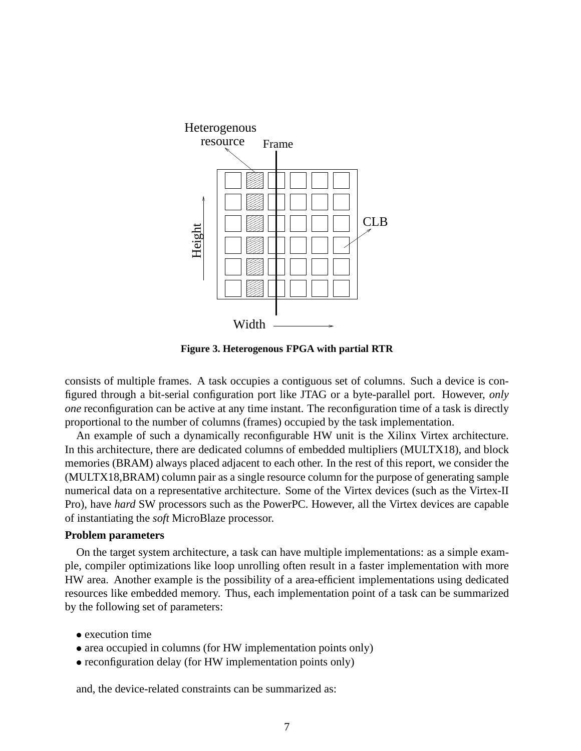

**Figure 3. Heterogenous FPGA with partial RTR**

consists of multiple frames. A task occupies a contiguous set of columns. Such a device is configured through a bit-serial configuration port like JTAG or a byte-parallel port. However, *only one* reconfiguration can be active at any time instant. The reconfiguration time of a task is directly proportional to the number of columns (frames) occupied by the task implementation.

An example of such a dynamically reconfigurable HW unit is the Xilinx Virtex architecture. In this architecture, there are dedicated columns of embedded multipliers (MULTX18), and block memories (BRAM) always placed adjacent to each other. In the rest of this report, we consider the (MULTX18,BRAM) column pair as a single resource column for the purpose of generating sample numerical data on a representative architecture. Some of the Virtex devices (such as the Virtex-II Pro), have *hard* SW processors such as the PowerPC. However, all the Virtex devices are capable of instantiating the *soft* MicroBlaze processor.

#### **Problem parameters**

On the target system architecture, a task can have multiple implementations: as a simple example, compiler optimizations like loop unrolling often result in a faster implementation with more HW area. Another example is the possibility of a area-efficient implementations using dedicated resources like embedded memory. Thus, each implementation point of a task can be summarized by the following set of parameters:

- execution time
- area occupied in columns (for HW implementation points only)
- reconfiguration delay (for HW implementation points only)

and, the device-related constraints can be summarized as: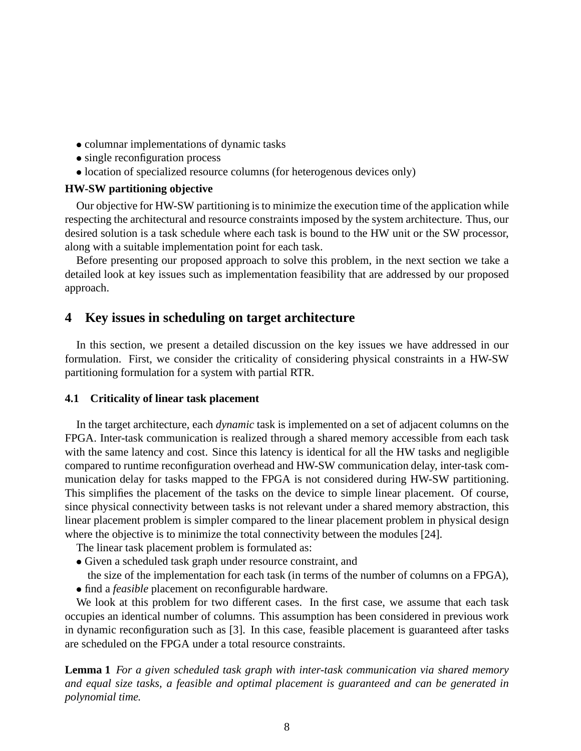- columnar implementations of dynamic tasks
- single reconfiguration process
- location of specialized resource columns (for heterogenous devices only)

#### **HW-SW partitioning objective**

Our objective for HW-SW partitioning is to minimize the execution time of the application while respecting the architectural and resource constraints imposed by the system architecture. Thus, our desired solution is a task schedule where each task is bound to the HW unit or the SW processor, along with a suitable implementation point for each task.

Before presenting our proposed approach to solve this problem, in the next section we take a detailed look at key issues such as implementation feasibility that are addressed by our proposed approach.

## **4 Key issues in scheduling on target architecture**

In this section, we present a detailed discussion on the key issues we have addressed in our formulation. First, we consider the criticality of considering physical constraints in a HW-SW partitioning formulation for a system with partial RTR.

#### **4.1 Criticality of linear task placement**

In the target architecture, each *dynamic* task is implemented on a set of adjacent columns on the FPGA. Inter-task communication is realized through a shared memory accessible from each task with the same latency and cost. Since this latency is identical for all the HW tasks and negligible compared to runtime reconfiguration overhead and HW-SW communication delay, inter-task communication delay for tasks mapped to the FPGA is not considered during HW-SW partitioning. This simplifies the placement of the tasks on the device to simple linear placement. Of course, since physical connectivity between tasks is not relevant under a shared memory abstraction, this linear placement problem is simpler compared to the linear placement problem in physical design where the objective is to minimize the total connectivity between the modules [24].

The linear task placement problem is formulated as:

- Given a scheduled task graph under resource constraint, and
- the size of the implementation for each task (in terms of the number of columns on a FPGA),
- find a *feasible* placement on reconfigurable hardware.

We look at this problem for two different cases. In the first case, we assume that each task occupies an identical number of columns. This assumption has been considered in previous work in dynamic reconfiguration such as [3]. In this case, feasible placement is guaranteed after tasks are scheduled on the FPGA under a total resource constraints.

**Lemma 1** *For a given scheduled task graph with inter-task communication via shared memory and equal size tasks, a feasible and optimal placement is guaranteed and can be generated in polynomial time.*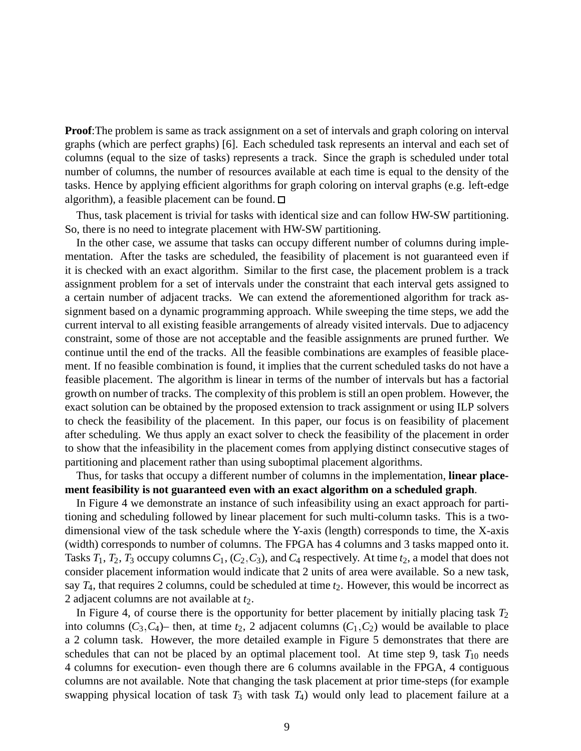**Proof**:The problem is same as track assignment on a set of intervals and graph coloring on interval graphs (which are perfect graphs) [6]. Each scheduled task represents an interval and each set of columns (equal to the size of tasks) represents a track. Since the graph is scheduled under total number of columns, the number of resources available at each time is equal to the density of the tasks. Hence by applying efficient algorithms for graph coloring on interval graphs (e.g. left-edge algorithm), a feasible placement can be found.  $\square$ 

Thus, task placement is trivial for tasks with identical size and can follow HW-SW partitioning. So, there is no need to integrate placement with HW-SW partitioning.

In the other case, we assume that tasks can occupy different number of columns during implementation. After the tasks are scheduled, the feasibility of placement is not guaranteed even if it is checked with an exact algorithm. Similar to the first case, the placement problem is a track assignment problem for a set of intervals under the constraint that each interval gets assigned to a certain number of adjacent tracks. We can extend the aforementioned algorithm for track assignment based on a dynamic programming approach. While sweeping the time steps, we add the current interval to all existing feasible arrangements of already visited intervals. Due to adjacency constraint, some of those are not acceptable and the feasible assignments are pruned further. We continue until the end of the tracks. All the feasible combinations are examples of feasible placement. If no feasible combination is found, it implies that the current scheduled tasks do not have a feasible placement. The algorithm is linear in terms of the number of intervals but has a factorial growth on number of tracks. The complexity of this problem is still an open problem. However, the exact solution can be obtained by the proposed extension to track assignment or using ILP solvers to check the feasibility of the placement. In this paper, our focus is on feasibility of placement after scheduling. We thus apply an exact solver to check the feasibility of the placement in order to show that the infeasibility in the placement comes from applying distinct consecutive stages of partitioning and placement rather than using suboptimal placement algorithms.

Thus, for tasks that occupy a different number of columns in the implementation, **linear placement feasibility is not guaranteed even with an exact algorithm on a scheduled graph**.

In Figure 4 we demonstrate an instance of such infeasibility using an exact approach for partitioning and scheduling followed by linear placement for such multi-column tasks. This is a twodimensional view of the task schedule where the Y-axis (length) corresponds to time, the X-axis (width) corresponds to number of columns. The FPGA has 4 columns and 3 tasks mapped onto it. Tasks  $T_1$ ,  $T_2$ ,  $T_3$  occupy columns  $C_1$ ,  $(C_2, C_3)$ , and  $C_4$  respectively. At time  $t_2$ , a model that does not consider placement information would indicate that 2 units of area were available. So a new task, say *T*4, that requires 2 columns, could be scheduled at time *t*2. However, this would be incorrect as 2 adjacent columns are not available at *t*2.

In Figure 4, of course there is the opportunity for better placement by initially placing task  $T_2$ into columns  $(C_3, C_4)$ – then, at time  $t_2$ , 2 adjacent columns  $(C_1, C_2)$  would be available to place a 2 column task. However, the more detailed example in Figure 5 demonstrates that there are schedules that can not be placed by an optimal placement tool. At time step 9, task  $T_{10}$  needs 4 columns for execution- even though there are 6 columns available in the FPGA, 4 contiguous columns are not available. Note that changing the task placement at prior time-steps (for example swapping physical location of task  $T_3$  with task  $T_4$ ) would only lead to placement failure at a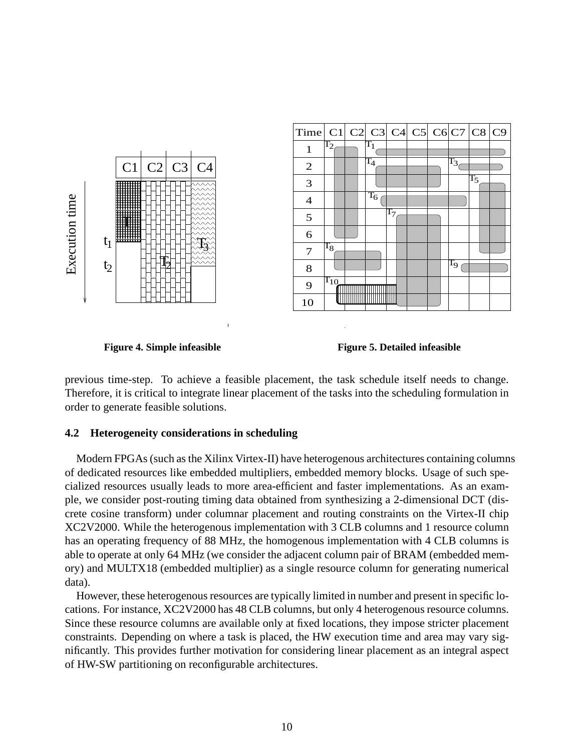

**Figure 4. Simple infeasible**

**Figure 5. Detailed infeasible**

previous time-step. To achieve a feasible placement, the task schedule itself needs to change. Therefore, it is critical to integrate linear placement of the tasks into the scheduling formulation in order to generate feasible solutions.

#### **4.2 Heterogeneity considerations in scheduling**

Modern FPGAs (such as the Xilinx Virtex-II) have heterogenous architectures containing columns of dedicated resources like embedded multipliers, embedded memory blocks. Usage of such specialized resources usually leads to more area-efficient and faster implementations. As an example, we consider post-routing timing data obtained from synthesizing a 2-dimensional DCT (discrete cosine transform) under columnar placement and routing constraints on the Virtex-II chip XC2V2000. While the heterogenous implementation with 3 CLB columns and 1 resource column has an operating frequency of 88 MHz, the homogenous implementation with 4 CLB columns is able to operate at only 64 MHz (we consider the adjacent column pair of BRAM (embedded memory) and MULTX18 (embedded multiplier) as a single resource column for generating numerical data).

However, these heterogenous resources are typically limited in number and present in specific locations. For instance, XC2V2000 has 48 CLB columns, but only 4 heterogenous resource columns. Since these resource columns are available only at fixed locations, they impose stricter placement constraints. Depending on where a task is placed, the HW execution time and area may vary significantly. This provides further motivation for considering linear placement as an integral aspect of HW-SW partitioning on reconfigurable architectures.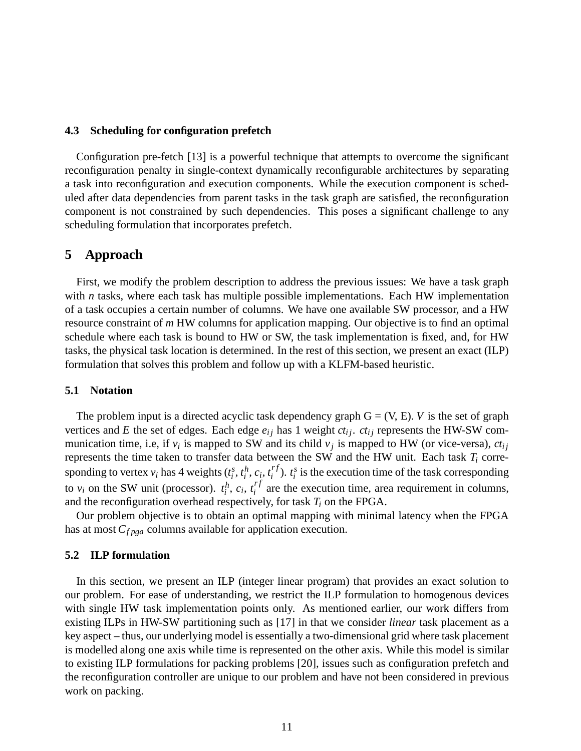#### **4.3 Scheduling for configuration prefetch**

Configuration pre-fetch [13] is a powerful technique that attempts to overcome the significant reconfiguration penalty in single-context dynamically reconfigurable architectures by separating a task into reconfiguration and execution components. While the execution component is scheduled after data dependencies from parent tasks in the task graph are satisfied, the reconfiguration component is not constrained by such dependencies. This poses a significant challenge to any scheduling formulation that incorporates prefetch.

## **5 Approach**

First, we modify the problem description to address the previous issues: We have a task graph with *n* tasks, where each task has multiple possible implementations. Each HW implementation of a task occupies a certain number of columns. We have one available SW processor, and a HW resource constraint of *m* HW columns for application mapping. Our objective is to find an optimal schedule where each task is bound to HW or SW, the task implementation is fixed, and, for HW tasks, the physical task location is determined. In the rest of this section, we present an exact (ILP) formulation that solves this problem and follow up with a KLFM-based heuristic.

## **5.1 Notation**

The problem input is a directed acyclic task dependency graph  $G = (V, E)$ . *V* is the set of graph vertices and *E* the set of edges. Each edge  $e_{ij}$  has 1 weight  $ct_{ij}$ .  $ct_{ij}$  represents the HW-SW communication time, i.e, if  $v_i$  is mapped to SW and its child  $v_j$  is mapped to HW (or vice-versa),  $ct_{ij}$ represents the time taken to transfer data between the SW and the HW unit. Each task *T<sup>i</sup>* corresponding to vertex  $v_i$  has 4 weights  $(t_i^s, t_i^h, c_i, t_i^{r})$  $f_i^{r}$ ).  $t_i^s$  is the execution time of the task corresponding to  $v_i$  on the SW unit (processor).  $t_i^h$ ,  $c_i$ ,  $t_i^{rf}$  $i'$  are the execution time, area requirement in columns, and the reconfiguration overhead respectively, for task  $T_i$  on the FPGA.

Our problem objective is to obtain an optimal mapping with minimal latency when the FPGA has at most *Cf pga* columns available for application execution.

#### **5.2 ILP formulation**

In this section, we present an ILP (integer linear program) that provides an exact solution to our problem. For ease of understanding, we restrict the ILP formulation to homogenous devices with single HW task implementation points only. As mentioned earlier, our work differs from existing ILPs in HW-SW partitioning such as [17] in that we consider *linear* task placement as a key aspect – thus, our underlying model is essentially a two-dimensional grid where task placement is modelled along one axis while time is represented on the other axis. While this model is similar to existing ILP formulations for packing problems [20], issues such as configuration prefetch and the reconfiguration controller are unique to our problem and have not been considered in previous work on packing.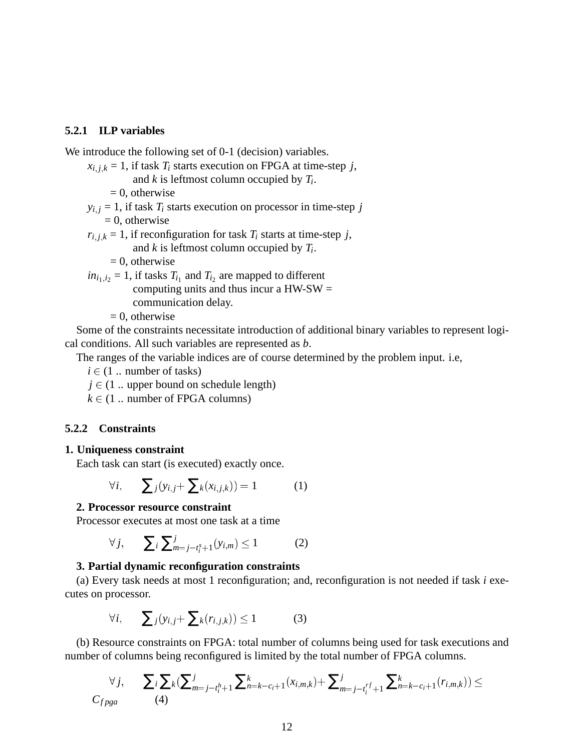#### **5.2.1 ILP variables**

We introduce the following set of 0-1 (decision) variables.

 $x_{i,j,k} = 1$ , if task  $T_i$  starts execution on FPGA at time-step *j*,

and *k* is leftmost column occupied by *T<sup>i</sup>* .

 $= 0$ , otherwise

 $y_{i,j} = 1$ , if task  $T_i$  starts execution on processor in time-step *j* 

 $= 0$ , otherwise

 $r_{i,j,k} = 1$ , if reconfiguration for task  $T_i$  starts at time-step *j*,

and *k* is leftmost column occupied by *T<sup>i</sup>* .

 $= 0$ , otherwise

- $in_{i_1, i_2} = 1$ , if tasks  $T_{i_1}$  and  $T_{i_2}$  are mapped to different computing units and thus incur a  $HW-SW =$ communication delay.
	- $= 0$ , otherwise

Some of the constraints necessitate introduction of additional binary variables to represent logical conditions. All such variables are represented as *b*.

The ranges of the variable indices are of course determined by the problem input. i.e,

 $i \in (1 \dots$  number of tasks)

 $j \in (1$  ... upper bound on schedule length)

 $k \in (1 \dots$  number of FPGA columns)

## **5.2.2 Constraints**

#### **1. Uniqueness constraint**

Each task can start (is executed) exactly once.

$$
\forall i, \qquad \sum_j (y_{i,j} + \sum_k (x_{i,j,k})) = 1 \tag{1}
$$

#### **2. Processor resource constraint**

Processor executes at most one task at a time

$$
\forall j, \qquad \sum_{i} \sum_{m=j-t_i^s+1}^{j} (y_{i,m}) \le 1 \tag{2}
$$

#### **3. Partial dynamic reconfiguration constraints**

(a) Every task needs at most 1 reconfiguration; and, reconfiguration is not needed if task *i* executes on processor.

$$
\forall i, \qquad \sum_j (y_{i,j} + \sum_k (r_{i,j,k})) \le 1 \tag{3}
$$

(b) Resource constraints on FPGA: total number of columns being used for task executions and number of columns being reconfigured is limited by the total number of FPGA columns.

$$
\forall j, \qquad \sum_{i} \sum_{k} (\sum_{m=j-t_i^h+1}^{j} \sum_{k=c_i+1}^{k} (x_{i,m,k}) + \sum_{m=j-t_i^f+1}^{j} \sum_{n=k-c_i+1}^{k} (r_{i,m,k})) \le
$$
  
*C<sub>f</sub><sub>pga</sub>* (4)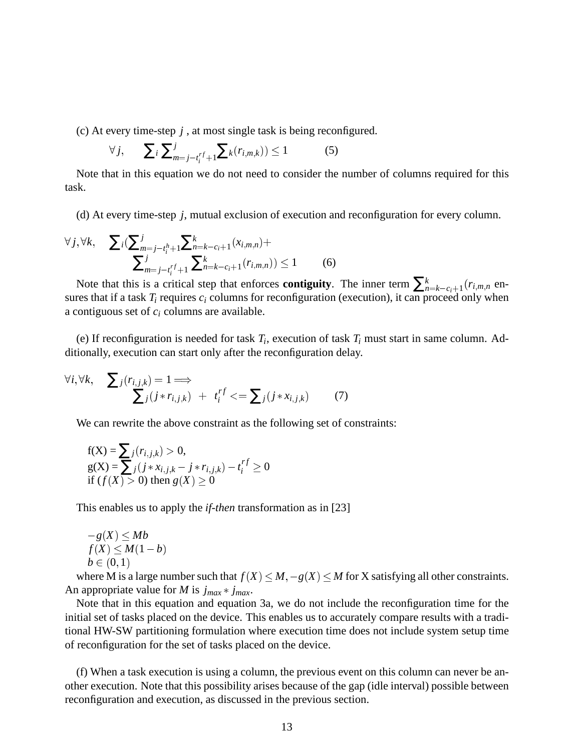(c) At every time-step *j* , at most single task is being reconfigured.

$$
\forall j, \qquad \sum_{i} \sum_{m=j-t_i^{rf}+1}^{j} \sum_{k}(r_{i,m,k})) \le 1 \tag{5}
$$

Note that in this equation we do not need to consider the number of columns required for this task.

(d) At every time-step *j*, mutual exclusion of execution and reconfiguration for every column.

$$
\forall j, \forall k, \quad \sum_{i} (\sum_{m=j-t_i^h+1}^{j} \sum_{n=k-c_i+1}^{k} (x_{i,m,n}) + \sum_{m=j-t_i^f+1}^{j} \sum_{n=k-c_i+1}^{k} (r_{i,m,n})) \le 1 \tag{6}
$$

Note that this is a critical step that enforces **contiguity**. The inner term  $\sum_{n=k-c_i+1}^{k} (r_{i,m,n}$  ensures that if a task  $T_i$  requires  $c_i$  columns for reconfiguration (execution), it can proceed only when a contiguous set of *c<sup>i</sup>* columns are available.

(e) If reconfiguration is needed for task  $T_i$ , execution of task  $T_i$  must start in same column. Additionally, execution can start only after the reconfiguration delay.

$$
\forall i, \forall k, \quad \sum_{j} (r_{i,j,k}) = 1 \Longrightarrow \sum_{j} (j * r_{i,j,k}) + t_i^{rf} \langle \sum_{j} (j * x_{i,j,k}) \rangle
$$
 (7)

We can rewrite the above constraint as the following set of constraints:

$$
f(X) = \sum_{j} (r_{i,j,k}) > 0,
$$
  
 
$$
g(X) = \sum_{j} (j * x_{i,j,k} - j * r_{i,j,k}) - t_i^{rf} \ge 0
$$
  
if  $(f(X) > 0)$  then  $g(X) \ge 0$ 

This enables us to apply the *if-then* transformation as in [23]

$$
-g(X) \leq Mb
$$
  
f(X) \leq M(1-b)  
b \in (0,1)

where M is a large number such that  $f(X) \leq M, -g(X) \leq M$  for X satisfying all other constraints. An appropriate value for *M* is  $j_{max} * j_{max}$ .

Note that in this equation and equation 3a, we do not include the reconfiguration time for the initial set of tasks placed on the device. This enables us to accurately compare results with a traditional HW-SW partitioning formulation where execution time does not include system setup time of reconfiguration for the set of tasks placed on the device.

(f) When a task execution is using a column, the previous event on this column can never be another execution. Note that this possibility arises because of the gap (idle interval) possible between reconfiguration and execution, as discussed in the previous section.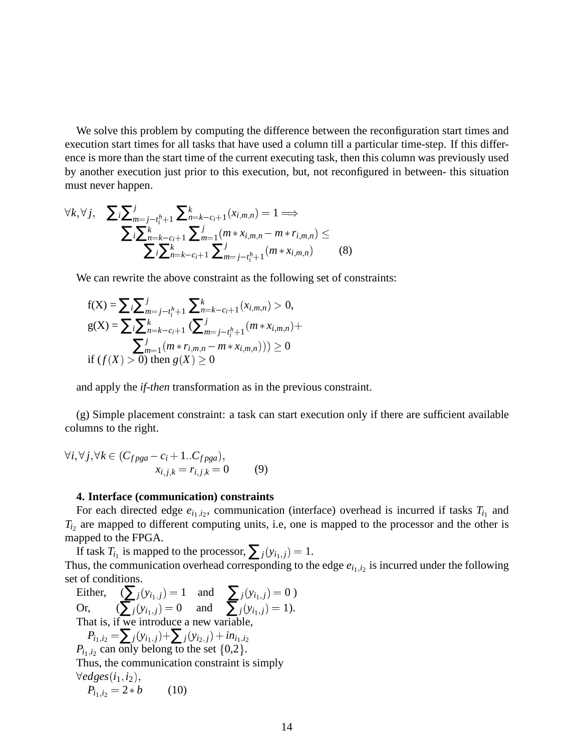We solve this problem by computing the difference between the reconfiguration start times and execution start times for all tasks that have used a column till a particular time-step. If this difference is more than the start time of the current executing task, then this column was previously used by another execution just prior to this execution, but, not reconfigured in between- this situation must never happen.

$$
\forall k, \forall j, \quad \sum_{i} \sum_{m=j-t_i^h+1}^{j} \sum_{k=k-c_i+1}^{k} (x_{i,m,n}) = 1 \Longrightarrow
$$
  

$$
\sum_{i} \sum_{n=k-c_i+1}^{k} \sum_{m=1}^{j} (m * x_{i,m,n} - m * r_{i,m,n}) \le
$$
  

$$
\sum_{i} \sum_{n=k-c_i+1}^{k} \sum_{m=j-t_i^h+1}^{j} (m * x_{i,m,n}) \qquad (8)
$$

We can rewrite the above constraint as the following set of constraints:

$$
f(X) = \sum_{i} \sum_{m=j-t_{i}^{h}+1}^{j} \sum_{n=k-c_{i}+1}^{k} (x_{i,m,n}) > 0,
$$
  
\n
$$
g(X) = \sum_{i} \sum_{m=k-c_{i}+1}^{k} (\sum_{m=j-t_{i}^{h}+1}^{j} (m * x_{i,m,n}) + \sum_{m=1}^{j} (m * r_{i,m,n} - m * x_{i,m,n}))) \ge 0
$$
  
\nif  $(f(X) > 0)$  then  $g(X) \ge 0$ 

and apply the *if-then* transformation as in the previous constraint.

(g) Simple placement constraint: a task can start execution only if there are sufficient available columns to the right.

$$
\forall i, \forall j, \forall k \in (C_{fpga} - c_i + 1..C_{fpga}),
$$
  
\n
$$
x_{i,j,k} = r_{i,j,k} = 0
$$
 (9)

#### **4. Interface (communication) constraints**

For each directed edge  $e_{i_1,i_2}$ , communication (interface) overhead is incurred if tasks  $T_{i_1}$  and  $T_{i_2}$  are mapped to different computing units, i.e, one is mapped to the processor and the other is mapped to the FPGA.

If task  $T_{i_1}$  is mapped to the processor,  $\sum_j(y_{i_1,j})=1$ . Thus, the communication overhead corresponding to the edge  $e_{i_1,i_2}$  is incurred under the following set of conditions.

Either, 
$$
(\sum_{j}(y_{i_1,j}) = 1
$$
 and  $\sum_{j}(y_{i_1,j}) = 0$  or,  $(\sum_{j}(y_{i_1,j}) = 0$  and  $\sum_{j}(y_{i_1,j}) = 1$ ). That is, if we introduce a new variable,  $P_{i_1,i_2} = \sum_{j}(y_{i_1,j}) + \sum_{j}(y_{i_2,j}) + in_{i_1,i_2}$   $P_{i_1,i_2}$  can only belong to the set  $\{0,2\}$ . Thus, the communication constraint is simply  $\forall$  edges  $(i_1, i_2)$ ,  $P_{i_1,i_2} = 2 * b$  (10)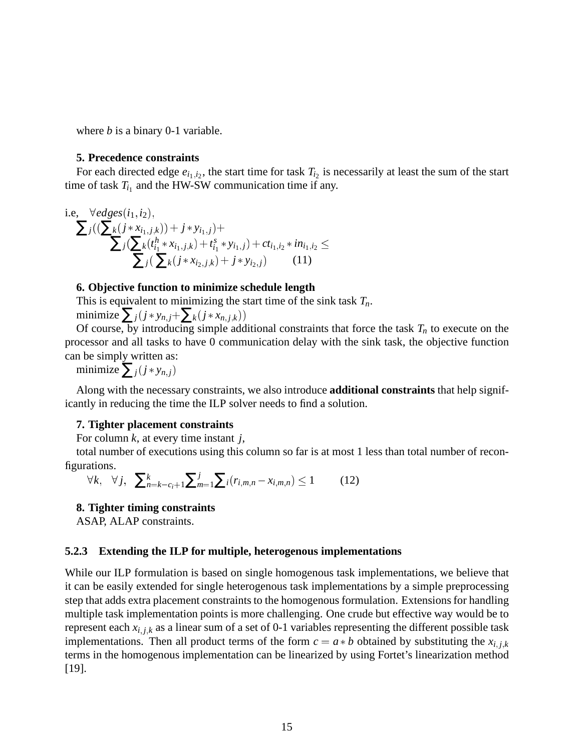where *b* is a binary 0-1 variable.

#### **5. Precedence constraints**

For each directed edge  $e_{i_1,i_2}$ , the start time for task  $T_{i_2}$  is necessarily at least the sum of the start time of task  $T_{i_1}$  and the HW-SW communication time if any.

i.e, 
$$
\forall
$$
 edges( $i_1, i_2$ ),  
\n
$$
\sum_j ((\sum_k (j * x_{i_1,j,k})) + j * y_{i_1,j}) +
$$
\n
$$
\sum_j (\sum_k (t_{i_1}^h * x_{i_1,j,k}) + t_{i_1}^s * y_{i_1,j}) + ct_{i_1,i_2} * in_{i_1,i_2} \le
$$
\n
$$
\sum_j (\sum_k (j * x_{i_2,j,k}) + j * y_{i_2,j})
$$
\n(1)

#### **6. Objective function to minimize schedule length**

This is equivalent to minimizing the start time of the sink task *Tn*.

 $\text{minimize } \sum_j (j * y_{n,j} + \sum_k (j * x_{n,j,k}))$ 

Of course, by introducing simple additional constraints that force the task  $T<sub>n</sub>$  to execute on the processor and all tasks to have 0 communication delay with the sink task, the objective function can be simply written as:

minimize  $\sum_{i}$  (*j*  $\cdot$  *y*<sub>n;</sub> *j*)

Along with the necessary constraints, we also introduce **additional constraints** that help significantly in reducing the time the ILP solver needs to find a solution.

#### **7. Tighter placement constraints**

For column *k*, at every time instant *j*,

total number of executions using this column so far is at most 1 less than total number of reconfigurations.

$$
\forall k, \quad \forall j, \quad \sum_{n=k-c_i+1}^{k} \sum_{m=1}^{j} \sum_{i} (r_{i,m,n} - x_{i,m,n}) \le 1 \tag{12}
$$

#### **8. Tighter timing constraints**

ASAP, ALAP constraints.

#### **5.2.3 Extending the ILP for multiple, heterogenous implementations**

While our ILP formulation is based on single homogenous task implementations, we believe that it can be easily extended for single heterogenous task implementations by a simple preprocessing step that adds extra placement constraints to the homogenous formulation. Extensions for handling multiple task implementation points is more challenging. One crude but effective way would be to represent each *xi*; *<sup>j</sup>*;*<sup>k</sup>* as a linear sum of a set of 0-1 variables representing the different possible task implementations. Then all product terms of the form  $c = a * b$  obtained by substituting the  $x_{i,j,k}$ terms in the homogenous implementation can be linearized by using Fortet's linearization method [19].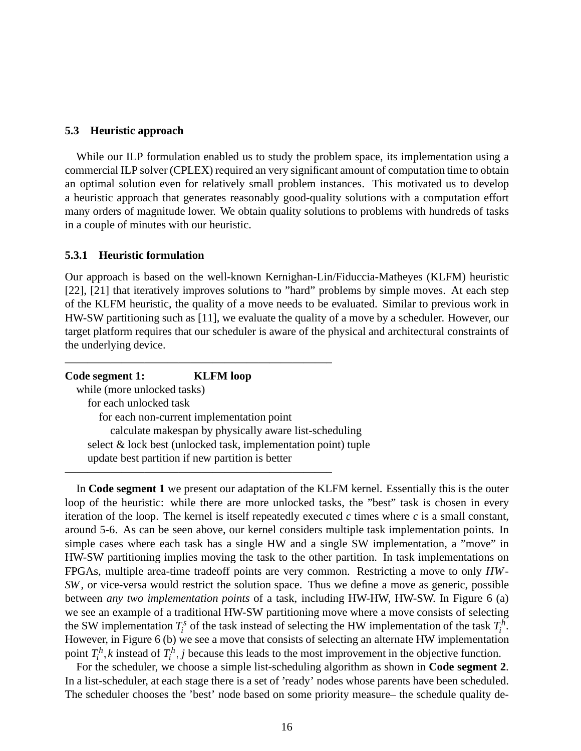#### **5.3 Heuristic approach**

While our ILP formulation enabled us to study the problem space, its implementation using a commercial ILP solver (CPLEX) required an very significant amount of computation time to obtain an optimal solution even for relatively small problem instances. This motivated us to develop a heuristic approach that generates reasonably good-quality solutions with a computation effort many orders of magnitude lower. We obtain quality solutions to problems with hundreds of tasks in a couple of minutes with our heuristic.

#### **5.3.1 Heuristic formulation**

Our approach is based on the well-known Kernighan-Lin/Fiduccia-Matheyes (KLFM) heuristic [22], [21] that iteratively improves solutions to "hard" problems by simple moves. At each step of the KLFM heuristic, the quality of a move needs to be evaluated. Similar to previous work in HW-SW partitioning such as [11], we evaluate the quality of a move by a scheduler. However, our target platform requires that our scheduler is aware of the physical and architectural constraints of the underlying device.

| Code segment 1:             | <b>KLFM</b> loop                                               |  |
|-----------------------------|----------------------------------------------------------------|--|
| while (more unlocked tasks) |                                                                |  |
| for each unlocked task      |                                                                |  |
|                             | for each non-current implementation point                      |  |
|                             | calculate makespan by physically aware list-scheduling         |  |
|                             | select & lock best (unlocked task, implementation point) tuple |  |
|                             | update best partition if new partition is better               |  |

———————————————————————–

———————————————————————–

In **Code segment 1** we present our adaptation of the KLFM kernel. Essentially this is the outer loop of the heuristic: while there are more unlocked tasks, the "best" task is chosen in every iteration of the loop. The kernel is itself repeatedly executed  $c$  times where  $c$  is a small constant, around 5-6. As can be seen above, our kernel considers multiple task implementation points. In simple cases where each task has a single HW and a single SW implementation, a "move" in HW-SW partitioning implies moving the task to the other partition. In task implementations on FPGAs, multiple area-time tradeoff points are very common. Restricting a move to only *HW*-*SW*, or vice-versa would restrict the solution space. Thus we define a move as generic, possible between *any two implementation points* of a task, including HW-HW, HW-SW. In Figure 6 (a) we see an example of a traditional HW-SW partitioning move where a move consists of selecting the SW implementation  $T_i^s$  of the task instead of selecting the HW implementation of the task  $T_i^h$ . However, in Figure 6 (b) we see a move that consists of selecting an alternate HW implementation point  $T_i^h$ , *k* instead of  $T_i^h$ , *j* because this leads to the most improvement in the objective function.

For the scheduler, we choose a simple list-scheduling algorithm as shown in **Code segment 2**. In a list-scheduler, at each stage there is a set of 'ready' nodes whose parents have been scheduled. The scheduler chooses the 'best' node based on some priority measure– the schedule quality de-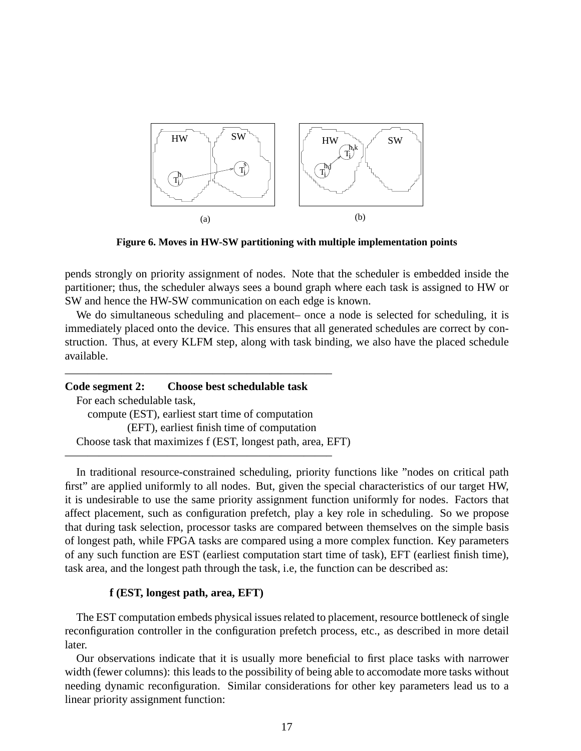

**Figure 6. Moves in HW-SW partitioning with multiple implementation points**

pends strongly on priority assignment of nodes. Note that the scheduler is embedded inside the partitioner; thus, the scheduler always sees a bound graph where each task is assigned to HW or SW and hence the HW-SW communication on each edge is known.

We do simultaneous scheduling and placement– once a node is selected for scheduling, it is immediately placed onto the device. This ensures that all generated schedules are correct by construction. Thus, at every KLFM step, along with task binding, we also have the placed schedule available.

## **Code segment 2: Choose best schedulable task**

———————————————————————–

———————————————————————–

For each schedulable task,

compute (EST), earliest start time of computation (EFT), earliest finish time of computation Choose task that maximizes f (EST, longest path, area, EFT)

In traditional resource-constrained scheduling, priority functions like "nodes on critical path first" are applied uniformly to all nodes. But, given the special characteristics of our target HW, it is undesirable to use the same priority assignment function uniformly for nodes. Factors that affect placement, such as configuration prefetch, play a key role in scheduling. So we propose that during task selection, processor tasks are compared between themselves on the simple basis of longest path, while FPGA tasks are compared using a more complex function. Key parameters of any such function are EST (earliest computation start time of task), EFT (earliest finish time), task area, and the longest path through the task, i.e, the function can be described as:

#### **f (EST, longest path, area, EFT)**

The EST computation embeds physical issues related to placement, resource bottleneck of single reconfiguration controller in the configuration prefetch process, etc., as described in more detail later.

Our observations indicate that it is usually more beneficial to first place tasks with narrower width (fewer columns): this leads to the possibility of being able to accomodate more tasks without needing dynamic reconfiguration. Similar considerations for other key parameters lead us to a linear priority assignment function: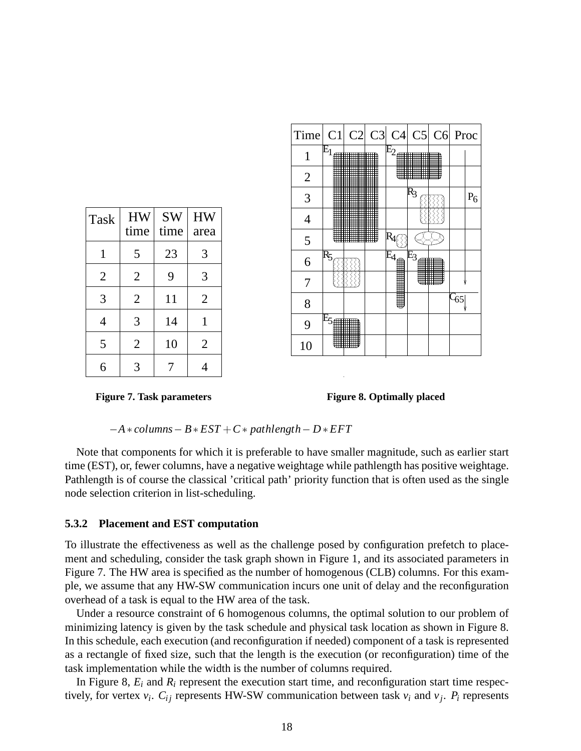| Time           | C1             | C2 C3 C4 C5 C6 Proc |             |        |    |                |
|----------------|----------------|---------------------|-------------|--------|----|----------------|
|                | $\mathbf{E}_1$ |                     | $\bar{c_2}$ |        |    |                |
| $\overline{2}$ | ┋              |                     |             | ⋕<br>≣ |    |                |
|                |                |                     |             | R3     |    | $\mathrm{P}_6$ |
|                |                |                     |             |        |    |                |
|                |                | ₩<br>٠.             |             |        |    |                |
| б              | $R_{5}$        |                     |             | Е3     |    |                |
|                |                |                     |             |        |    |                |
| 8              |                |                     |             |        | 65 |                |
|                |                |                     |             |        |    |                |
| 10             |                |                     |             |        |    |                |

| Task           | <b>HW</b><br>time | <b>SW</b><br>time | <b>HW</b><br>area |
|----------------|-------------------|-------------------|-------------------|
| 1              | 5                 | 23                | 3                 |
| $\overline{2}$ | $\overline{2}$    |                   | 3                 |
| 3              | $\overline{2}$    | 11                | $\overline{2}$    |
| $\overline{4}$ | 3                 |                   | 1                 |
| 5              | $\overline{2}$    | 10                | $\overline{2}$    |
| 6              | 3                 | 7                 | 4                 |

**Figure 7. Task parameters**

**Figure 8. Optimally placed**

 $-A * columns - B * EST + C * pathlength - D * EFT$ 

Note that components for which it is preferable to have smaller magnitude, such as earlier start time (EST), or, fewer columns, have a negative weightage while pathlength has positive weightage. Pathlength is of course the classical 'critical path' priority function that is often used as the single node selection criterion in list-scheduling.

#### **5.3.2 Placement and EST computation**

To illustrate the effectiveness as well as the challenge posed by configuration prefetch to placement and scheduling, consider the task graph shown in Figure 1, and its associated parameters in Figure 7. The HW area is specified as the number of homogenous (CLB) columns. For this example, we assume that any HW-SW communication incurs one unit of delay and the reconfiguration overhead of a task is equal to the HW area of the task.

Under a resource constraint of 6 homogenous columns, the optimal solution to our problem of minimizing latency is given by the task schedule and physical task location as shown in Figure 8. In this schedule, each execution (and reconfiguration if needed) component of a task is represented as a rectangle of fixed size, such that the length is the execution (or reconfiguration) time of the task implementation while the width is the number of columns required.

In Figure 8,  $E_i$  and  $R_i$  represent the execution start time, and reconfiguration start time respectively, for vertex  $v_i$ .  $C_{ij}$  represents HW-SW communication between task  $v_i$  and  $v_j$ .  $P_i$  represents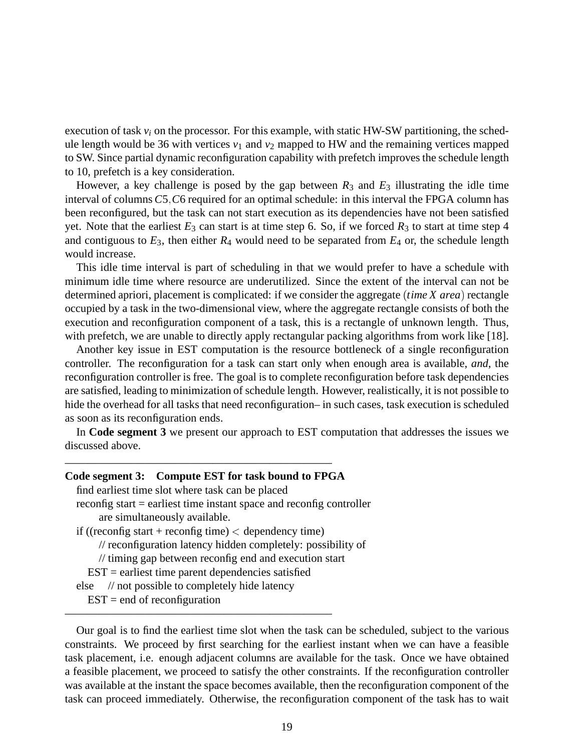execution of task  $v_i$  on the processor. For this example, with static HW-SW partitioning, the schedule length would be 36 with vertices  $v_1$  and  $v_2$  mapped to HW and the remaining vertices mapped to SW. Since partial dynamic reconfiguration capability with prefetch improves the schedule length to 10, prefetch is a key consideration.

However, a key challenge is posed by the gap between  $R_3$  and  $E_3$  illustrating the idle time interval of columns *C*5; *C*6 required for an optimal schedule: in this interval the FPGA column has been reconfigured, but the task can not start execution as its dependencies have not been satisfied yet. Note that the earliest  $E_3$  can start is at time step 6. So, if we forced  $R_3$  to start at time step 4 and contiguous to  $E_3$ , then either  $R_4$  would need to be separated from  $E_4$  or, the schedule length would increase.

This idle time interval is part of scheduling in that we would prefer to have a schedule with minimum idle time where resource are underutilized. Since the extent of the interval can not be determined apriori, placement is complicated: if we consider the aggregate (*time X area*) rectangle occupied by a task in the two-dimensional view, where the aggregate rectangle consists of both the execution and reconfiguration component of a task, this is a rectangle of unknown length. Thus, with prefetch, we are unable to directly apply rectangular packing algorithms from work like [18].

Another key issue in EST computation is the resource bottleneck of a single reconfiguration controller. The reconfiguration for a task can start only when enough area is available, *and*, the reconfiguration controller is free. The goal is to complete reconfiguration before task dependencies are satisfied, leading to minimization of schedule length. However, realistically, it is not possible to hide the overhead for all tasks that need reconfiguration– in such cases, task execution is scheduled as soon as its reconfiguration ends.

In **Code segment 3** we present our approach to EST computation that addresses the issues we discussed above.

## **Code segment 3: Compute EST for task bound to FPGA**

———————————————————————–

find earliest time slot where task can be placed reconfig start = earliest time instant space and reconfig controller are simultaneously available. if ((reconfig start + reconfig time)  $\langle$  dependency time)

// reconfiguration latency hidden completely: possibility of

// timing gap between reconfig end and execution start

 $EST =$  earliest time parent dependencies satisfied

———————————————————————–

else // not possible to completely hide latency

 $EST = end of reconfiguration$ 

Our goal is to find the earliest time slot when the task can be scheduled, subject to the various constraints. We proceed by first searching for the earliest instant when we can have a feasible task placement, i.e. enough adjacent columns are available for the task. Once we have obtained a feasible placement, we proceed to satisfy the other constraints. If the reconfiguration controller was available at the instant the space becomes available, then the reconfiguration component of the task can proceed immediately. Otherwise, the reconfiguration component of the task has to wait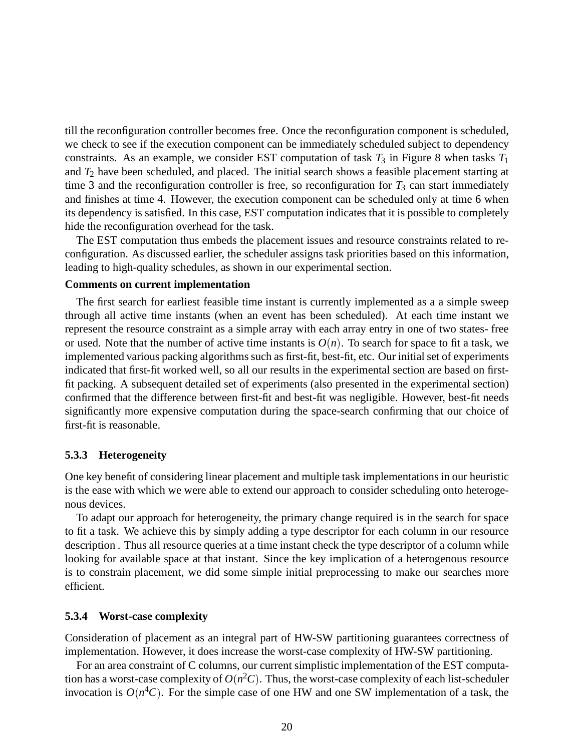till the reconfiguration controller becomes free. Once the reconfiguration component is scheduled, we check to see if the execution component can be immediately scheduled subject to dependency constraints. As an example, we consider EST computation of task  $T_3$  in Figure 8 when tasks  $T_1$ and *T*<sup>2</sup> have been scheduled, and placed. The initial search shows a feasible placement starting at time 3 and the reconfiguration controller is free, so reconfiguration for  $T_3$  can start immediately and finishes at time 4. However, the execution component can be scheduled only at time 6 when its dependency is satisfied. In this case, EST computation indicates that it is possible to completely hide the reconfiguration overhead for the task.

The EST computation thus embeds the placement issues and resource constraints related to reconfiguration. As discussed earlier, the scheduler assigns task priorities based on this information, leading to high-quality schedules, as shown in our experimental section.

#### **Comments on current implementation**

The first search for earliest feasible time instant is currently implemented as a a simple sweep through all active time instants (when an event has been scheduled). At each time instant we represent the resource constraint as a simple array with each array entry in one of two states- free or used. Note that the number of active time instants is  $O(n)$ . To search for space to fit a task, we implemented various packing algorithms such as first-fit, best-fit, etc. Our initial set of experiments indicated that first-fit worked well, so all our results in the experimental section are based on firstfit packing. A subsequent detailed set of experiments (also presented in the experimental section) confirmed that the difference between first-fit and best-fit was negligible. However, best-fit needs significantly more expensive computation during the space-search confirming that our choice of first-fit is reasonable.

#### **5.3.3 Heterogeneity**

One key benefit of considering linear placement and multiple task implementations in our heuristic is the ease with which we were able to extend our approach to consider scheduling onto heterogenous devices.

To adapt our approach for heterogeneity, the primary change required is in the search for space to fit a task. We achieve this by simply adding a type descriptor for each column in our resource description . Thus all resource queries at a time instant check the type descriptor of a column while looking for available space at that instant. Since the key implication of a heterogenous resource is to constrain placement, we did some simple initial preprocessing to make our searches more efficient.

#### **5.3.4 Worst-case complexity**

Consideration of placement as an integral part of HW-SW partitioning guarantees correctness of implementation. However, it does increase the worst-case complexity of HW-SW partitioning.

For an area constraint of C columns, our current simplistic implementation of the EST computation has a worst-case complexity of  $O(n^2C)$ . Thus, the worst-case complexity of each list-scheduler invocation is  $O(n^4C)$ . For the simple case of one HW and one SW implementation of a task, the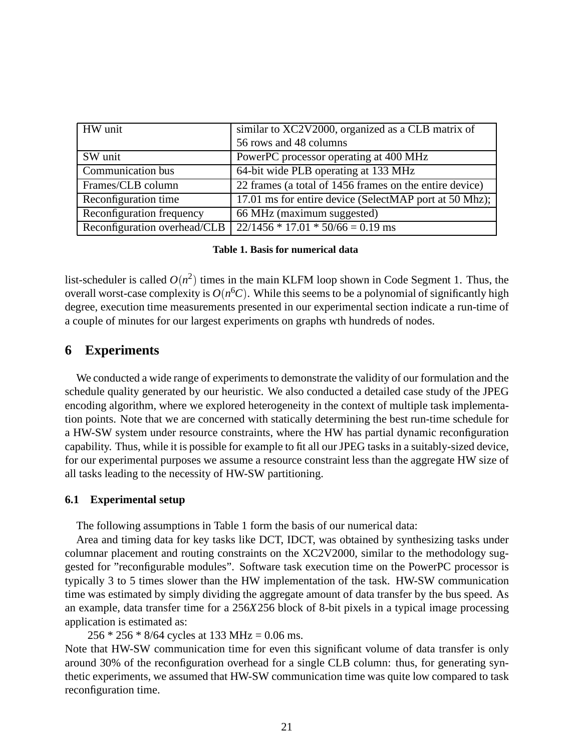| HW unit                      | similar to XC2V2000, organized as a CLB matrix of       |
|------------------------------|---------------------------------------------------------|
|                              | 56 rows and 48 columns                                  |
| SW unit                      | PowerPC processor operating at 400 MHz                  |
| Communication bus            | 64-bit wide PLB operating at 133 MHz                    |
| Frames/CLB column            | 22 frames (a total of 1456 frames on the entire device) |
| Reconfiguration time         | 17.01 ms for entire device (SelectMAP port at 50 Mhz);  |
| Reconfiguration frequency    | 66 MHz (maximum suggested)                              |
| Reconfiguration overhead/CLB | $22/1456 * 17.01 * 50/66 = 0.19$ ms                     |

**Table 1. Basis for numerical data**

list-scheduler is called  $O(n^2)$  times in the main KLFM loop shown in Code Segment 1. Thus, the overall worst-case complexity is  $O(n^6C)$ . While this seems to be a polynomial of significantly high degree, execution time measurements presented in our experimental section indicate a run-time of a couple of minutes for our largest experiments on graphs wth hundreds of nodes.

## **6 Experiments**

We conducted a wide range of experiments to demonstrate the validity of our formulation and the schedule quality generated by our heuristic. We also conducted a detailed case study of the JPEG encoding algorithm, where we explored heterogeneity in the context of multiple task implementation points. Note that we are concerned with statically determining the best run-time schedule for a HW-SW system under resource constraints, where the HW has partial dynamic reconfiguration capability. Thus, while it is possible for example to fit all our JPEG tasks in a suitably-sized device, for our experimental purposes we assume a resource constraint less than the aggregate HW size of all tasks leading to the necessity of HW-SW partitioning.

## **6.1 Experimental setup**

The following assumptions in Table 1 form the basis of our numerical data:

Area and timing data for key tasks like DCT, IDCT, was obtained by synthesizing tasks under columnar placement and routing constraints on the XC2V2000, similar to the methodology suggested for "reconfigurable modules". Software task execution time on the PowerPC processor is typically 3 to 5 times slower than the HW implementation of the task. HW-SW communication time was estimated by simply dividing the aggregate amount of data transfer by the bus speed. As an example, data transfer time for a 256*X*256 block of 8-bit pixels in a typical image processing application is estimated as:

 $256 * 256 * 8/64$  cycles at 133 MHz = 0.06 ms.

Note that HW-SW communication time for even this significant volume of data transfer is only around 30% of the reconfiguration overhead for a single CLB column: thus, for generating synthetic experiments, we assumed that HW-SW communication time was quite low compared to task reconfiguration time.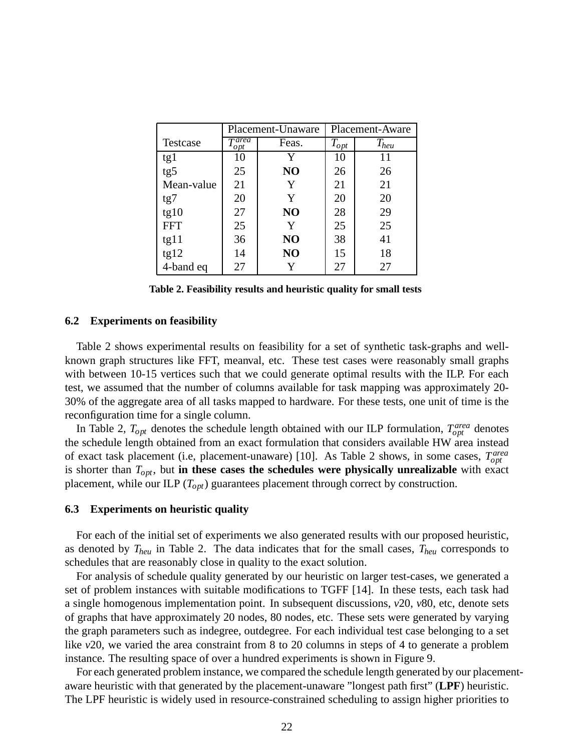|                 | Placement-Unaware            |       |           | Placement-Aware |
|-----------------|------------------------------|-------|-----------|-----------------|
| <b>Testcase</b> | $\boldsymbol{T}$ area<br>opt | Feas. | $T_{opt}$ | $T_{heu}$       |
| tg1             | 10                           | Y     | 10        | 11              |
| tg <sub>5</sub> | 25                           | NO    | 26        | 26              |
| Mean-value      | 21                           | Y     | 21        | 21              |
| tg7             | 20                           | Y     | 20        | 20              |
| tg10            | 27                           | NO    | 28        | 29              |
| <b>FFT</b>      | 25                           | Y     | 25        | 25              |
| tg11            | 36                           | NO    | 38        | 41              |
| tg12            | 14                           | NO    | 15        | 18              |
| 4-band eq       | 27                           | Y     | 27        | 27              |

**Table 2. Feasibility results and heuristic quality for small tests**

#### **6.2 Experiments on feasibility**

Table 2 shows experimental results on feasibility for a set of synthetic task-graphs and wellknown graph structures like FFT, meanval, etc. These test cases were reasonably small graphs with between 10-15 vertices such that we could generate optimal results with the ILP. For each test, we assumed that the number of columns available for task mapping was approximately 20- 30% of the aggregate area of all tasks mapped to hardware. For these tests, one unit of time is the reconfiguration time for a single column.

In Table 2,  $T_{opt}$  denotes the schedule length obtained with our ILP formulation,  $T_{opt}^{area}$  denotes the schedule length obtained from an exact formulation that considers available HW area instead of exact task placement (i.e, placement-unaware) [10]. As Table 2 shows, in some cases,  $T_{opt}^{area}$ is shorter than *Topt*, but **in these cases the schedules were physically unrealizable** with exact placement, while our ILP (*Topt*) guarantees placement through correct by construction.

#### **6.3 Experiments on heuristic quality**

For each of the initial set of experiments we also generated results with our proposed heuristic, as denoted by *Theu* in Table 2. The data indicates that for the small cases, *Theu* corresponds to schedules that are reasonably close in quality to the exact solution.

For analysis of schedule quality generated by our heuristic on larger test-cases, we generated a set of problem instances with suitable modifications to TGFF [14]. In these tests, each task had a single homogenous implementation point. In subsequent discussions, *v*20, *v*80, etc, denote sets of graphs that have approximately 20 nodes, 80 nodes, etc. These sets were generated by varying the graph parameters such as indegree, outdegree. For each individual test case belonging to a set like *v*20, we varied the area constraint from 8 to 20 columns in steps of 4 to generate a problem instance. The resulting space of over a hundred experiments is shown in Figure 9.

For each generated problem instance, we compared the schedule length generated by our placementaware heuristic with that generated by the placement-unaware "longest path first" (**LPF**) heuristic. The LPF heuristic is widely used in resource-constrained scheduling to assign higher priorities to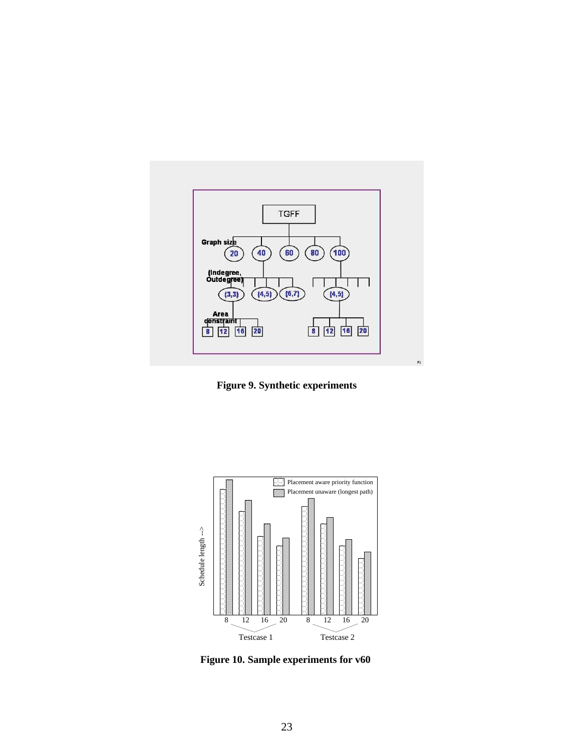

**Figure 9. Synthetic experiments**



**Figure 10. Sample experiments for v60**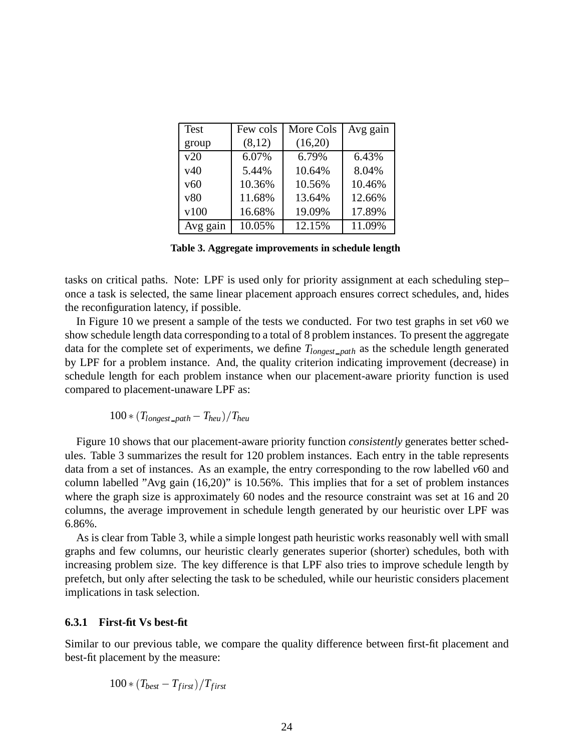| Test     | Few cols | More Cols | Avg gain |
|----------|----------|-----------|----------|
| group    | (8,12)   | (16,20)   |          |
| v20      | 6.07%    | 6.79%     | 6.43%    |
| v40      | 5.44%    | 10.64%    | 8.04%    |
| v60      | 10.36%   | 10.56%    | 10.46%   |
| v80      | 11.68%   | 13.64%    | 12.66%   |
| v100     | 16.68%   | 19.09%    | 17.89%   |
| Avg gain | 10.05%   | 12.15%    | 11.09%   |

**Table 3. Aggregate improvements in schedule length**

tasks on critical paths. Note: LPF is used only for priority assignment at each scheduling step– once a task is selected, the same linear placement approach ensures correct schedules, and, hides the reconfiguration latency, if possible.

In Figure 10 we present a sample of the tests we conducted. For two test graphs in set *v*60 we show schedule length data corresponding to a total of 8 problem instances. To present the aggregate data for the complete set of experiments, we define *Tlongest path* as the schedule length generated by LPF for a problem instance. And, the quality criterion indicating improvement (decrease) in schedule length for each problem instance when our placement-aware priority function is used compared to placement-unaware LPF as:

$$
100 * (T_{longest\_path} - T_{heu}) / T_{heu}
$$

Figure 10 shows that our placement-aware priority function *consistently* generates better schedules. Table 3 summarizes the result for 120 problem instances. Each entry in the table represents data from a set of instances. As an example, the entry corresponding to the row labelled *v*60 and column labelled "Avg gain (16,20)" is 10.56%. This implies that for a set of problem instances where the graph size is approximately 60 nodes and the resource constraint was set at 16 and 20 columns, the average improvement in schedule length generated by our heuristic over LPF was 6.86%.

As is clear from Table 3, while a simple longest path heuristic works reasonably well with small graphs and few columns, our heuristic clearly generates superior (shorter) schedules, both with increasing problem size. The key difference is that LPF also tries to improve schedule length by prefetch, but only after selecting the task to be scheduled, while our heuristic considers placement implications in task selection.

#### **6.3.1 First-fit Vs best-fit**

Similar to our previous table, we compare the quality difference between first-fit placement and best-fit placement by the measure:

 $100 * (T_{best} - T_{first})/T_{first}$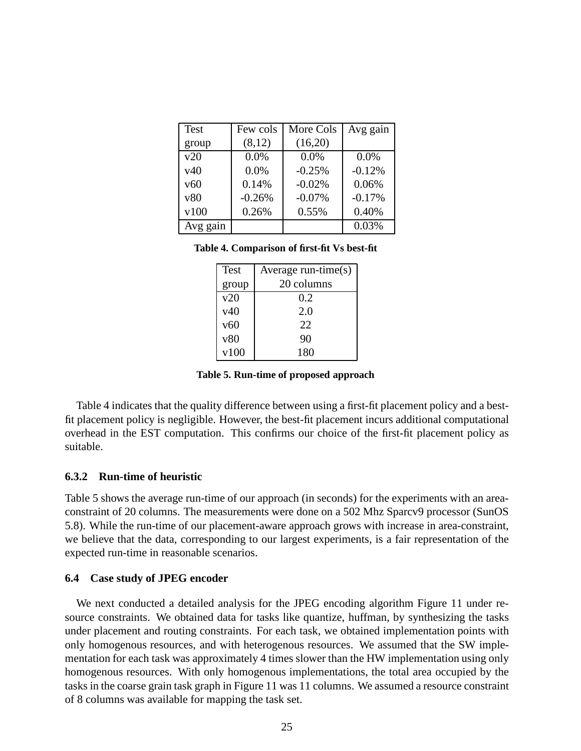| Test     | Few cols | More Cols | Avg gain |
|----------|----------|-----------|----------|
| group    | (8,12)   | (16,20)   |          |
| v20      | 0.0%     | 0.0%      | 0.0%     |
| v40      | 0.0%     | $-0.25%$  | $-0.12%$ |
| v60      | 0.14%    | $-0.02%$  | 0.06%    |
| v80      | $-0.26%$ | $-0.07%$  | $-0.17%$ |
| v100     | 0.26%    | 0.55%     | 0.40%    |
| Avg gain |          |           | 0.03%    |

**Table 4. Comparison of first-fit Vs best-fit**

| <b>Test</b> | Average $run-time(s)$ |
|-------------|-----------------------|
| group       | 20 columns            |
| v20         | 0.2                   |
| v40         | 2.0                   |
| v60         | 22                    |
| v80         | 90                    |
| v100        | 180                   |

**Table 5. Run-time of proposed approach**

Table 4 indicates that the quality difference between using a first-fit placement policy and a bestfit placement policy is negligible. However, the best-fit placement incurs additional computational overhead in the EST computation. This confirms our choice of the first-fit placement policy as suitable.

### **6.3.2 Run-time of heuristic**

Table 5 shows the average run-time of our approach (in seconds) for the experiments with an areaconstraint of 20 columns. The measurements were done on a 502 Mhz Sparcv9 processor (SunOS 5.8). While the run-time of our placement-aware approach grows with increase in area-constraint, we believe that the data, corresponding to our largest experiments, is a fair representation of the expected run-time in reasonable scenarios.

#### **6.4 Case study of JPEG encoder**

We next conducted a detailed analysis for the JPEG encoding algorithm Figure 11 under resource constraints. We obtained data for tasks like quantize, huffman, by synthesizing the tasks under placement and routing constraints. For each task, we obtained implementation points with only homogenous resources, and with heterogenous resources. We assumed that the SW implementation for each task was approximately 4 times slower than the HW implementation using only homogenous resources. With only homogenous implementations, the total area occupied by the tasks in the coarse grain task graph in Figure 11 was 11 columns. We assumed a resource constraint of 8 columns was available for mapping the task set.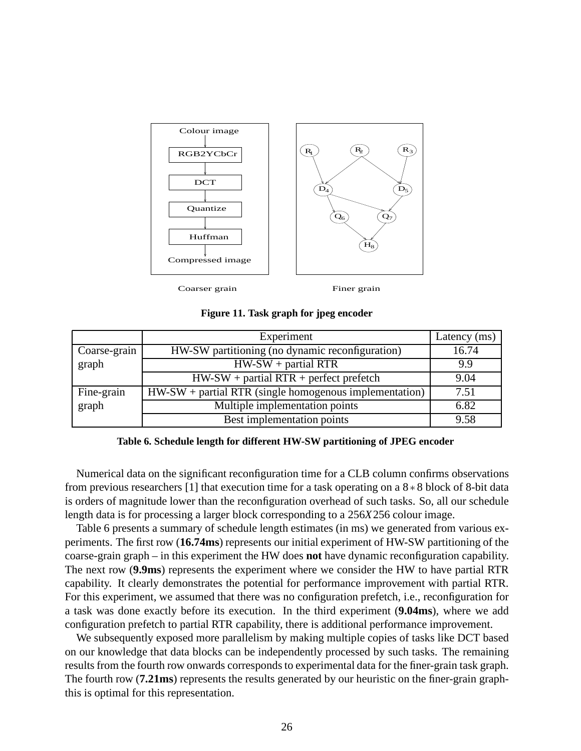

Coarser grain Finer grain

**Figure 11. Task graph for jpeg encoder**

|              | Experiment                                               | Latency (ms) |
|--------------|----------------------------------------------------------|--------------|
| Coarse-grain | HW-SW partitioning (no dynamic reconfiguration)          | 16.74        |
| graph        | $HW-SW + partial RTR$                                    | 9.9          |
|              | $\overline{HW-SW +$ partial RTR + perfect prefetch       | 9.04         |
| Fine-grain   | $HW-SW +$ partial RTR (single homogenous implementation) | 7.51         |
| graph        | Multiple implementation points                           | 6.82         |
|              | Best implementation points                               | 9.58         |

**Table 6. Schedule length for different HW-SW partitioning of JPEG encoder**

Numerical data on the significant reconfiguration time for a CLB column confirms observations from previous researchers [1] that execution time for a task operating on a  $8 * 8$  block of 8-bit data is orders of magnitude lower than the reconfiguration overhead of such tasks. So, all our schedule length data is for processing a larger block corresponding to a 256*X*256 colour image.

Table 6 presents a summary of schedule length estimates (in ms) we generated from various experiments. The first row (**16.74ms**) represents our initial experiment of HW-SW partitioning of the coarse-grain graph – in this experiment the HW does **not** have dynamic reconfiguration capability. The next row (**9.9ms**) represents the experiment where we consider the HW to have partial RTR capability. It clearly demonstrates the potential for performance improvement with partial RTR. For this experiment, we assumed that there was no configuration prefetch, i.e., reconfiguration for a task was done exactly before its execution. In the third experiment (**9.04ms**), where we add configuration prefetch to partial RTR capability, there is additional performance improvement.

We subsequently exposed more parallelism by making multiple copies of tasks like DCT based on our knowledge that data blocks can be independently processed by such tasks. The remaining results from the fourth row onwards corresponds to experimental data for the finer-grain task graph. The fourth row (**7.21ms**) represents the results generated by our heuristic on the finer-grain graphthis is optimal for this representation.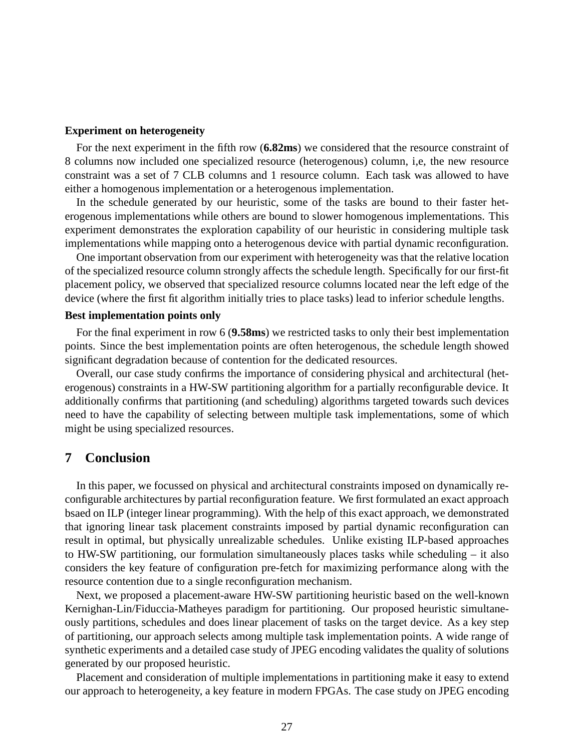#### **Experiment on heterogeneity**

For the next experiment in the fifth row (**6.82ms**) we considered that the resource constraint of 8 columns now included one specialized resource (heterogenous) column, i,e, the new resource constraint was a set of 7 CLB columns and 1 resource column. Each task was allowed to have either a homogenous implementation or a heterogenous implementation.

In the schedule generated by our heuristic, some of the tasks are bound to their faster heterogenous implementations while others are bound to slower homogenous implementations. This experiment demonstrates the exploration capability of our heuristic in considering multiple task implementations while mapping onto a heterogenous device with partial dynamic reconfiguration.

One important observation from our experiment with heterogeneity was that the relative location of the specialized resource column strongly affects the schedule length. Specifically for our first-fit placement policy, we observed that specialized resource columns located near the left edge of the device (where the first fit algorithm initially tries to place tasks) lead to inferior schedule lengths.

#### **Best implementation points only**

For the final experiment in row 6 (**9.58ms**) we restricted tasks to only their best implementation points. Since the best implementation points are often heterogenous, the schedule length showed significant degradation because of contention for the dedicated resources.

Overall, our case study confirms the importance of considering physical and architectural (heterogenous) constraints in a HW-SW partitioning algorithm for a partially reconfigurable device. It additionally confirms that partitioning (and scheduling) algorithms targeted towards such devices need to have the capability of selecting between multiple task implementations, some of which might be using specialized resources.

## **7 Conclusion**

In this paper, we focussed on physical and architectural constraints imposed on dynamically reconfigurable architectures by partial reconfiguration feature. We first formulated an exact approach bsaed on ILP (integer linear programming). With the help of this exact approach, we demonstrated that ignoring linear task placement constraints imposed by partial dynamic reconfiguration can result in optimal, but physically unrealizable schedules. Unlike existing ILP-based approaches to HW-SW partitioning, our formulation simultaneously places tasks while scheduling – it also considers the key feature of configuration pre-fetch for maximizing performance along with the resource contention due to a single reconfiguration mechanism.

Next, we proposed a placement-aware HW-SW partitioning heuristic based on the well-known Kernighan-Lin/Fiduccia-Matheyes paradigm for partitioning. Our proposed heuristic simultaneously partitions, schedules and does linear placement of tasks on the target device. As a key step of partitioning, our approach selects among multiple task implementation points. A wide range of synthetic experiments and a detailed case study of JPEG encoding validates the quality of solutions generated by our proposed heuristic.

Placement and consideration of multiple implementations in partitioning make it easy to extend our approach to heterogeneity, a key feature in modern FPGAs. The case study on JPEG encoding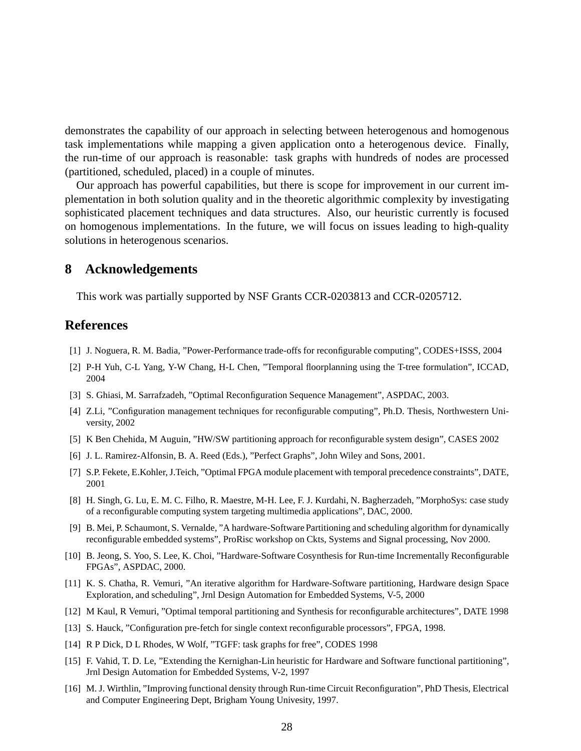demonstrates the capability of our approach in selecting between heterogenous and homogenous task implementations while mapping a given application onto a heterogenous device. Finally, the run-time of our approach is reasonable: task graphs with hundreds of nodes are processed (partitioned, scheduled, placed) in a couple of minutes.

Our approach has powerful capabilities, but there is scope for improvement in our current implementation in both solution quality and in the theoretic algorithmic complexity by investigating sophisticated placement techniques and data structures. Also, our heuristic currently is focused on homogenous implementations. In the future, we will focus on issues leading to high-quality solutions in heterogenous scenarios.

## **8 Acknowledgements**

This work was partially supported by NSF Grants CCR-0203813 and CCR-0205712.

## **References**

- [1] J. Noguera, R. M. Badia, "Power-Performance trade-offs for reconfigurable computing", CODES+ISSS, 2004
- [2] P-H Yuh, C-L Yang, Y-W Chang, H-L Chen, "Temporal floorplanning using the T-tree formulation", ICCAD, 2004
- [3] S. Ghiasi, M. Sarrafzadeh, "Optimal Reconfiguration Sequence Management", ASPDAC, 2003.
- [4] Z.Li, "Configuration management techniques for reconfigurable computing", Ph.D. Thesis, Northwestern University, 2002
- [5] K Ben Chehida, M Auguin, "HW/SW partitioning approach for reconfigurable system design", CASES 2002
- [6] J. L. Ramirez-Alfonsin, B. A. Reed (Eds.), "Perfect Graphs", John Wiley and Sons, 2001.
- [7] S.P. Fekete, E.Kohler, J.Teich, "Optimal FPGA module placement with temporal precedence constraints", DATE, 2001
- [8] H. Singh, G. Lu, E. M. C. Filho, R. Maestre, M-H. Lee, F. J. Kurdahi, N. Bagherzadeh, "MorphoSys: case study of a reconfigurable computing system targeting multimedia applications", DAC, 2000.
- [9] B. Mei, P. Schaumont, S. Vernalde, "A hardware-Software Partitioning and scheduling algorithm for dynamically reconfigurable embedded systems", ProRisc workshop on Ckts, Systems and Signal processing, Nov 2000.
- [10] B. Jeong, S. Yoo, S. Lee, K. Choi, "Hardware-Software Cosynthesis for Run-time Incrementally Reconfigurable FPGAs", ASPDAC, 2000.
- [11] K. S. Chatha, R. Vemuri, "An iterative algorithm for Hardware-Software partitioning, Hardware design Space Exploration, and scheduling", Jrnl Design Automation for Embedded Systems, V-5, 2000
- [12] M Kaul, R Vemuri, "Optimal temporal partitioning and Synthesis for reconfigurable architectures", DATE 1998
- [13] S. Hauck, "Configuration pre-fetch for single context reconfigurable processors", FPGA, 1998.
- [14] R P Dick, D L Rhodes, W Wolf, "TGFF: task graphs for free", CODES 1998
- [15] F. Vahid, T. D. Le, "Extending the Kernighan-Lin heuristic for Hardware and Software functional partitioning", Jrnl Design Automation for Embedded Systems, V-2, 1997
- [16] M. J. Wirthlin, "Improving functional density through Run-time Circuit Reconfiguration", PhD Thesis, Electrical and Computer Engineering Dept, Brigham Young Univesity, 1997.